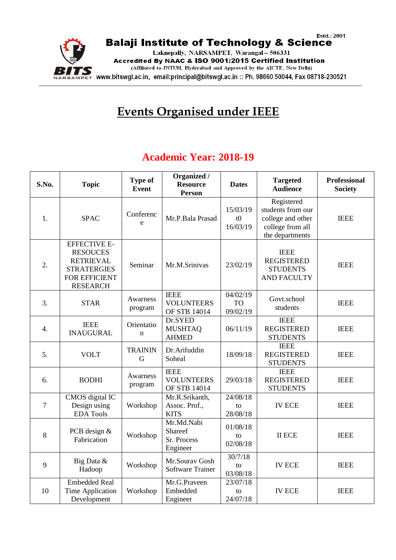

## **Events Organised under IEEE**

## **Academic Year: 2018-19**

| S.No.          | <b>Topic</b>                                                                                                         | <b>Type of</b><br><b>Event</b> | Organized /<br><b>Resource</b><br><b>Person</b>  | <b>Dates</b>                      | <b>Targeted</b><br><b>Audience</b>                                                          | <b>Professional</b><br><b>Society</b> |
|----------------|----------------------------------------------------------------------------------------------------------------------|--------------------------------|--------------------------------------------------|-----------------------------------|---------------------------------------------------------------------------------------------|---------------------------------------|
| 1.             | <b>SPAC</b>                                                                                                          | Conferenc<br>e                 | Mr.P.Bala Prasad                                 | 15/03/19<br>t0<br>16/03/19        | Registered<br>students from our<br>college and other<br>college from all<br>the departments | <b>IEEE</b>                           |
| 2.             | <b>EFFECTIVE E-</b><br><b>RESOUCES</b><br><b>RETRIEVAL</b><br><b>STRATERGIES</b><br>FOR EFFICIENT<br><b>RESEARCH</b> | Seminar                        | Mr.M.Srinivas                                    | 23/02/19                          | <b>IEEE</b><br><b>REGISTERED</b><br><b>STUDENTS</b><br><b>AND FACULTY</b>                   | <b>IEEE</b>                           |
| 3.             | <b>STAR</b>                                                                                                          | Awarness<br>program            | <b>IEEE</b><br><b>VOLUNTEERS</b><br>OF STB 14014 | 04/02/19<br><b>TO</b><br>09/02/19 | Govt.school<br>students                                                                     | <b>IEEE</b>                           |
| 4.             | <b>IEEE</b><br><b>INAUGURAL</b>                                                                                      | Orientatio<br>$\mathbf n$      | Dr.SYED<br><b>MUSHTAQ</b><br><b>AHMED</b>        | 06/11/19                          | <b>IEEE</b><br><b>REGISTERED</b><br><b>STUDENTS</b>                                         | <b>IEEE</b>                           |
| 5.             | <b>VOLT</b>                                                                                                          | <b>TRAININ</b><br>G            | Dr.Arifuddin<br>Soheal                           | 18/09/18                          | <b>IEEE</b><br><b>REGISTERED</b><br><b>STUDENTS</b>                                         | <b>IEEE</b>                           |
| 6.             | <b>BODHI</b>                                                                                                         | Awarness<br>program            | <b>IEEE</b><br><b>VOLUNTEERS</b><br>OF STB 14014 | 29/03/18                          | <b>IEEE</b><br><b>REGISTERED</b><br><b>STUDENTS</b>                                         | <b>IEEE</b>                           |
| $\overline{7}$ | CMOS digital IC<br>Design using<br><b>EDA</b> Tools                                                                  | Workshop                       | Mr.R.Srikanth,<br>Assoc. Prof.,<br><b>KITS</b>   | 24/08/18<br>to<br>28/08/18        | <b>IV ECE</b>                                                                               | <b>IEEE</b>                           |
| 8              | PCB design &<br>Fabrication                                                                                          | Workshop                       | Mr.Md.Nabi<br>Shareef<br>Sr. Process<br>Engineer | 01/08/18<br>to<br>02/08/18        | <b>II ECE</b>                                                                               | <b>IEEE</b>                           |
| 9              | Big Data &<br>Hadoop                                                                                                 | Workshop                       | Mr.Sourav Gosh<br><b>Software Trainer</b>        | 30/7/18<br>to<br>03/08/18         | <b>IV ECE</b>                                                                               | <b>IEEE</b>                           |
| 10             | <b>Embedded Real</b><br><b>Time Application</b><br>Development                                                       | Workshop                       | Mr.G.Praveen<br>Embedded<br>Engineer             | 23/07/18<br>to<br>24/07/18        | <b>IV ECE</b>                                                                               | <b>IEEE</b>                           |